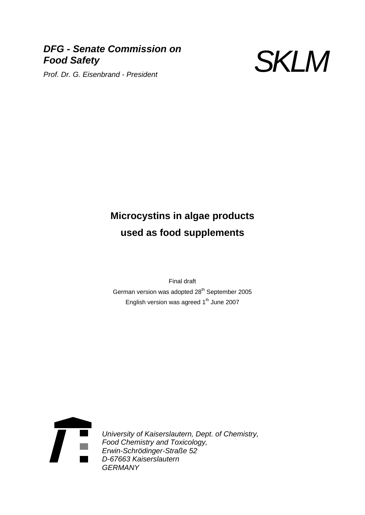# *DFG - Senate Commission on Food Safety Prof. Dr. G. Eisenbrand - President* SKLM



# **Microcystins in algae products used as food supplements**

Final draft German version was adopted 28<sup>th</sup> September 2005 English version was agreed  $1<sup>th</sup>$  June 2007



*University of Kaiserslautern, Dept. of Chemistry, Food Chemistry and Toxicology, Erwin-Schrödinger-Straße 52 D-67663 Kaiserslautern GERMANY*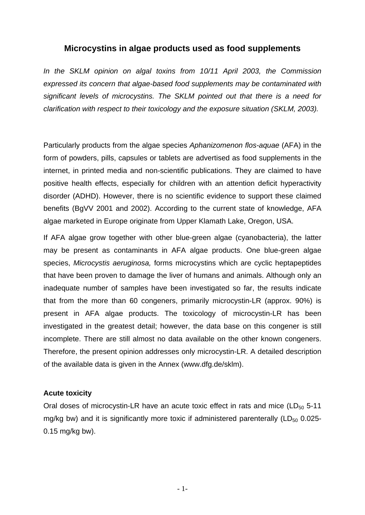# **Microcystins in algae products used as food supplements**

*In the SKLM opinion on algal toxins from 10/11 April 2003, the Commission expressed its concern that algae-based food supplements may be contaminated with significant levels of microcystins. The SKLM pointed out that there is a need for clarification with respect to their toxicology and the exposure situation (SKLM, 2003).* 

Particularly products from the algae species *Aphanizomenon flos-aquae* (AFA) in the form of powders, pills, capsules or tablets are advertised as food supplements in the internet, in printed media and non-scientific publications. They are claimed to have positive health effects, especially for children with an attention deficit hyperactivity disorder (ADHD). However, there is no scientific evidence to support these claimed benefits (BgVV 2001 and 2002). According to the current state of knowledge, AFA algae marketed in Europe originate from Upper Klamath Lake, Oregon, USA.

If AFA algae grow together with other blue-green algae (cyanobacteria), the latter may be present as contaminants in AFA algae products. One blue-green algae species, *Microcystis aeruginosa,* forms microcystins which are cyclic heptapeptides that have been proven to damage the liver of humans and animals. Although only an inadequate number of samples have been investigated so far, the results indicate that from the more than 60 congeners, primarily microcystin-LR (approx. 90%) is present in AFA algae products. The toxicology of microcystin-LR has been investigated in the greatest detail; however, the data base on this congener is still incomplete. There are still almost no data available on the other known congeners. Therefore, the present opinion addresses only microcystin-LR. A detailed description of the available data is given in the Annex (www.dfg.de/sklm).

#### **Acute toxicity**

Oral doses of microcystin-LR have an acute toxic effect in rats and mice  $(LD_{50} 5-11)$ mg/kg bw) and it is significantly more toxic if administered parenterally ( $LD_{50}$  0.025-0.15 mg/kg bw).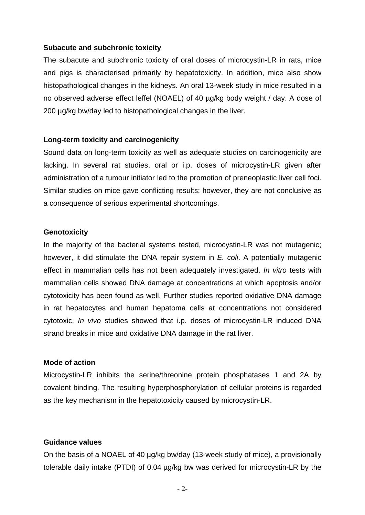#### **Subacute and subchronic toxicity**

The subacute and subchronic toxicity of oral doses of microcystin-LR in rats, mice and pigs is characterised primarily by hepatotoxicity. In addition, mice also show histopathological changes in the kidneys. An oral 13-week study in mice resulted in a no observed adverse effect leffel (NOAEL) of 40 µg/kg body weight / day. A dose of 200 ug/kg bw/day led to histopathological changes in the liver.

#### **Long-term toxicity and carcinogenicity**

Sound data on long-term toxicity as well as adequate studies on carcinogenicity are lacking. In several rat studies, oral or i.p. doses of microcystin-LR given after administration of a tumour initiator led to the promotion of preneoplastic liver cell foci. Similar studies on mice gave conflicting results; however, they are not conclusive as a consequence of serious experimental shortcomings.

#### **Genotoxicity**

In the majority of the bacterial systems tested, microcystin-LR was not mutagenic: however, it did stimulate the DNA repair system in *E. coli*. A potentially mutagenic effect in mammalian cells has not been adequately investigated. *In vitro* tests with mammalian cells showed DNA damage at concentrations at which apoptosis and/or cytotoxicity has been found as well. Further studies reported oxidative DNA damage in rat hepatocytes and human hepatoma cells at concentrations not considered cytotoxic. *In vivo* studies showed that i.p. doses of microcystin-LR induced DNA strand breaks in mice and oxidative DNA damage in the rat liver.

#### **Mode of action**

Microcystin-LR inhibits the serine/threonine protein phosphatases 1 and 2A by covalent binding. The resulting hyperphosphorylation of cellular proteins is regarded as the key mechanism in the hepatotoxicity caused by microcystin-LR.

#### **Guidance values**

On the basis of a NOAEL of 40 µg/kg bw/day (13-week study of mice), a provisionally tolerable daily intake (PTDI) of 0.04 µg/kg bw was derived for microcystin-LR by the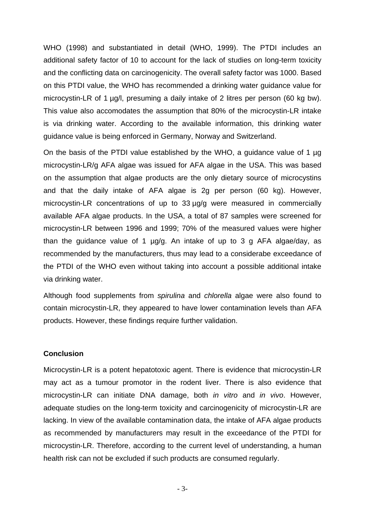WHO (1998) and substantiated in detail (WHO, 1999). The PTDI includes an additional safety factor of 10 to account for the lack of studies on long-term toxicity and the conflicting data on carcinogenicity. The overall safety factor was 1000. Based on this PTDI value, the WHO has recommended a drinking water guidance value for microcystin-LR of 1 µg/l, presuming a daily intake of 2 litres per person (60 kg bw). This value also accomodates the assumption that 80% of the microcystin-LR intake is via drinking water. According to the available information, this drinking water guidance value is being enforced in Germany, Norway and Switzerland.

On the basis of the PTDI value established by the WHO, a guidance value of 1 µg microcystin-LR/g AFA algae was issued for AFA algae in the USA. This was based on the assumption that algae products are the only dietary source of microcystins and that the daily intake of AFA algae is 2g per person (60 kg). However, microcystin-LR concentrations of up to 33 µg/g were measured in commercially available AFA algae products. In the USA, a total of 87 samples were screened for microcystin-LR between 1996 and 1999; 70% of the measured values were higher than the guidance value of 1  $\mu q/q$ . An intake of up to 3 g AFA algae/day, as recommended by the manufacturers, thus may lead to a considerabe exceedance of the PTDI of the WHO even without taking into account a possible additional intake via drinking water.

Although food supplements from *spirulina* and *chlorella* algae were also found to contain microcystin-LR, they appeared to have lower contamination levels than AFA products. However, these findings require further validation.

#### **Conclusion**

Microcystin-LR is a potent hepatotoxic agent. There is evidence that microcystin-LR may act as a tumour promotor in the rodent liver. There is also evidence that microcystin-LR can initiate DNA damage, both *in vitro* and *in vivo*. However, adequate studies on the long-term toxicity and carcinogenicity of microcystin-LR are lacking. In view of the available contamination data, the intake of AFA algae products as recommended by manufacturers may result in the exceedance of the PTDI for microcystin-LR. Therefore, according to the current level of understanding, a human health risk can not be excluded if such products are consumed regularly.